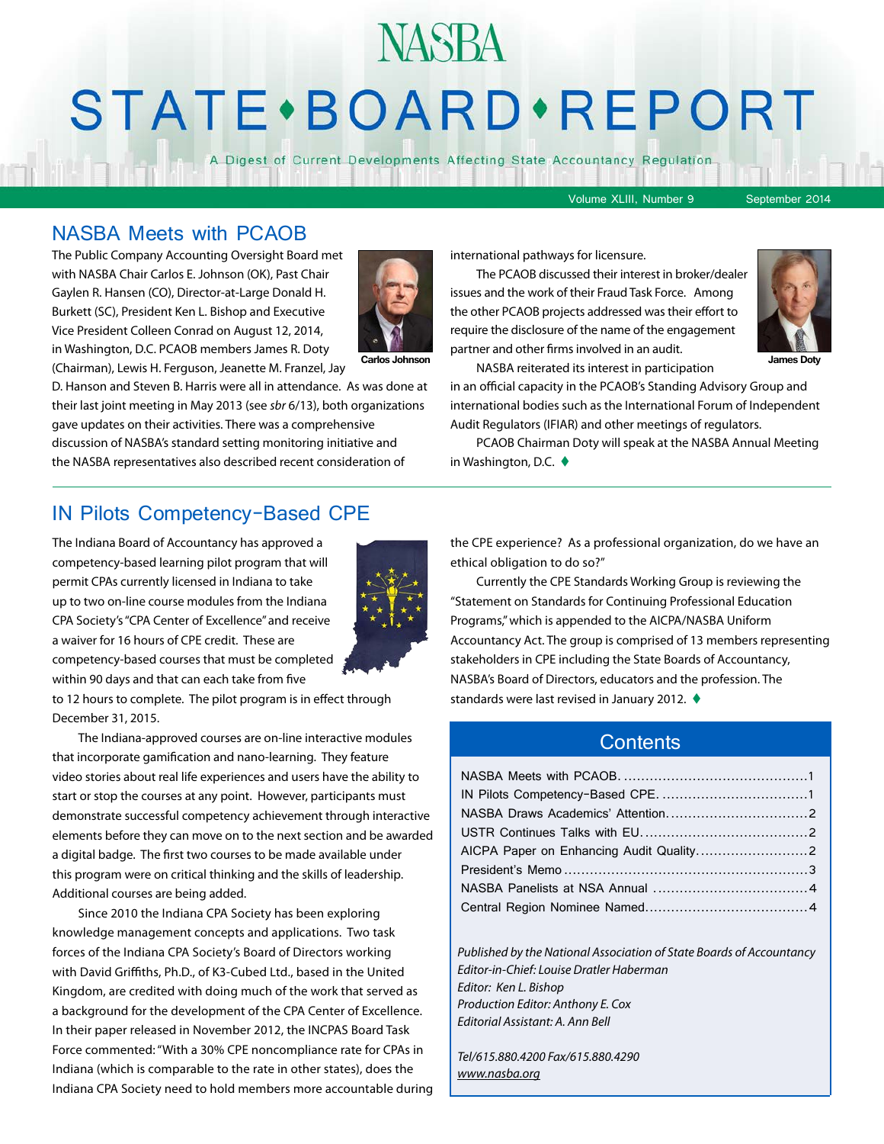# **STATE** · BOARD · REPORT

**NASBA** 

A Digest of Current Developments Affecting State Accountancy Regulation

Volume XLIII, Number 9 September 2014

#### NASBA Meets with PCAOB

The Public Company Accounting Oversight Board met with NASBA Chair Carlos E. Johnson (OK), Past Chair Gaylen R. Hansen (CO), Director-at-Large Donald H. Burkett (SC), President Ken L. Bishop and Executive Vice President Colleen Conrad on August 12, 2014, in Washington, D.C. PCAOB members James R. Doty



(Chairman), Lewis H. Ferguson, Jeanette M. Franzel, Jay

D. Hanson and Steven B. Harris were all in attendance. As was done at their last joint meeting in May 2013 (see *sbr* 6/13), both organizations gave updates on their activities. There was a comprehensive discussion of NASBA's standard setting monitoring initiative and the NASBA representatives also described recent consideration of

international pathways for licensure.

The PCAOB discussed their interest in broker/dealer issues and the work of their Fraud Task Force. Among the other PCAOB projects addressed was their effort to require the disclosure of the name of the engagement partner and other firms involved in an audit.



NASBA reiterated its interest in participation **Carlos Johnson James Doty**in an official capacity in the PCAOB's Standing Advisory Group and international bodies such as the International Forum of Independent Audit Regulators (IFIAR) and other meetings of regulators.

> PCAOB Chairman Doty will speak at the NASBA Annual Meeting in Washington, D.C.  $\blacklozenge$

#### IN Pilots Competency-Based CPE

The Indiana Board of Accountancy has approved a competency-based learning pilot program that will permit CPAs currently licensed in Indiana to take up to two on-line course modules from the Indiana CPA Society's "CPA Center of Excellence" and receive a waiver for 16 hours of CPE credit. These are competency-based courses that must be completed within 90 days and that can each take from five



to 12 hours to complete. The pilot program is in effect through December 31, 2015.

The Indiana-approved courses are on-line interactive modules that incorporate gamification and nano-learning. They feature video stories about real life experiences and users have the ability to start or stop the courses at any point. However, participants must demonstrate successful competency achievement through interactive elements before they can move on to the next section and be awarded a digital badge. The first two courses to be made available under this program were on critical thinking and the skills of leadership. Additional courses are being added.

Since 2010 the Indiana CPA Society has been exploring knowledge management concepts and applications. Two task forces of the Indiana CPA Society's Board of Directors working with David Griffiths, Ph.D., of K3-Cubed Ltd., based in the United Kingdom, are credited with doing much of the work that served as a background for the development of the CPA Center of Excellence. In their paper released in November 2012, the INCPAS Board Task Force commented: "With a 30% CPE noncompliance rate for CPAs in Indiana (which is comparable to the rate in other states), does the Indiana CPA Society need to hold members more accountable during the CPE experience? As a professional organization, do we have an ethical obligation to do so?"

Currently the CPE Standards Working Group is reviewing the "Statement on Standards for Continuing Professional Education Programs," which is appended to the AICPA/NASBA Uniform Accountancy Act. The group is comprised of 13 members representing stakeholders in CPE including the State Boards of Accountancy, NASBA's Board of Directors, educators and the profession. The standards were last revised in January 2012.  $\blacklozenge$ 

#### **Contents**

*Published by the National Association of State Boards of Accountancy Editor-in-Chief: Louise Dratler Haberman Editor: Ken L. Bishop Production Editor: Anthony E. Cox Editorial Assistant: A. Ann Bell* 

*Tel/615.880.4200 Fax/615.880.4290 [www.nasba.org](http://www.nasba.org)*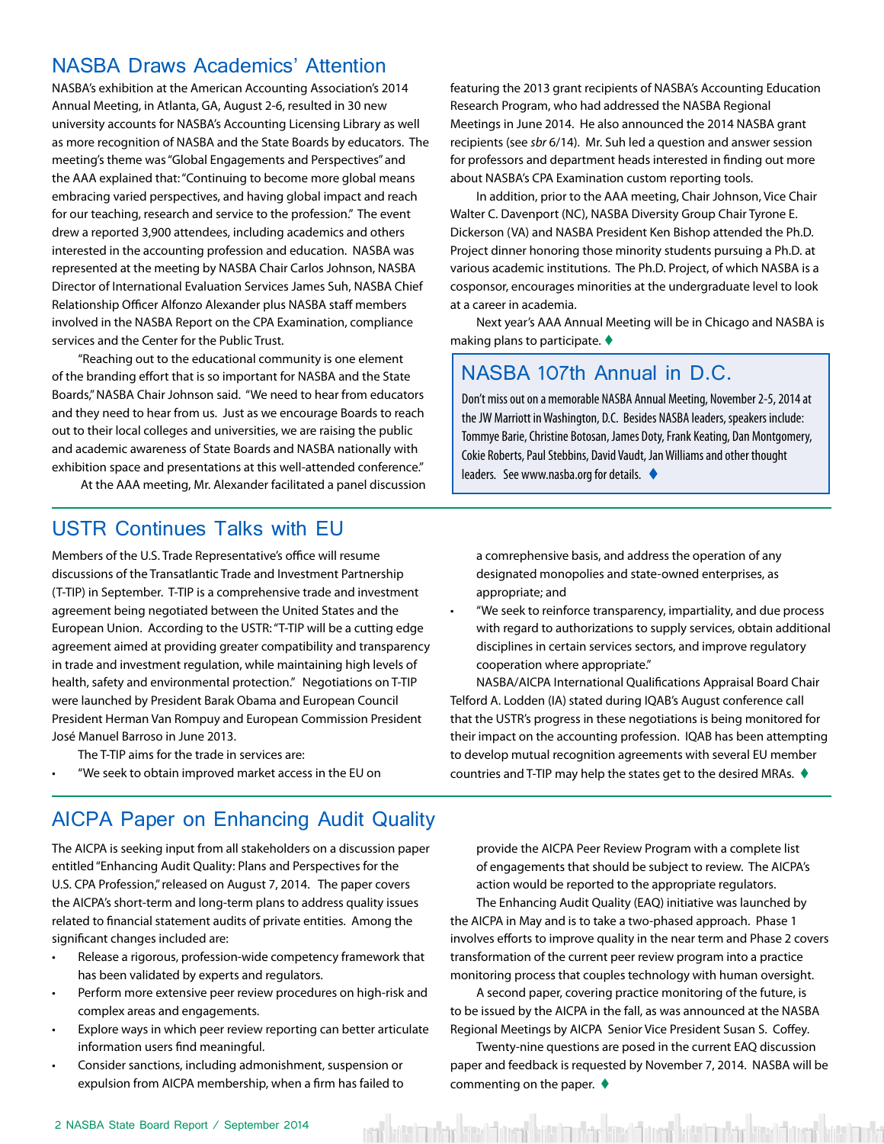#### <span id="page-1-0"></span>NASBA Draws Academics' Attention

NASBA's exhibition at the American Accounting Association's 2014 Annual Meeting, in Atlanta, GA, August 2-6, resulted in 30 new university accounts for NASBA's Accounting Licensing Library as well as more recognition of NASBA and the State Boards by educators. The meeting's theme was "Global Engagements and Perspectives" and the AAA explained that: "Continuing to become more global means embracing varied perspectives, and having global impact and reach for our teaching, research and service to the profession." The event drew a reported 3,900 attendees, including academics and others interested in the accounting profession and education. NASBA was represented at the meeting by NASBA Chair Carlos Johnson, NASBA Director of International Evaluation Services James Suh, NASBA Chief Relationship Officer Alfonzo Alexander plus NASBA staff members involved in the NASBA Report on the CPA Examination, compliance services and the Center for the Public Trust.

"Reaching out to the educational community is one element of the branding effort that is so important for NASBA and the State Boards," NASBA Chair Johnson said. "We need to hear from educators and they need to hear from us. Just as we encourage Boards to reach out to their local colleges and universities, we are raising the public and academic awareness of State Boards and NASBA nationally with exhibition space and presentations at this well-attended conference."

At the AAA meeting, Mr. Alexander facilitated a panel discussion

featuring the 2013 grant recipients of NASBA's Accounting Education Research Program, who had addressed the NASBA Regional Meetings in June 2014. He also announced the 2014 NASBA grant recipients (see *sbr* 6/14). Mr. Suh led a question and answer session for professors and department heads interested in finding out more about NASBA's CPA Examination custom reporting tools.

In addition, prior to the AAA meeting, Chair Johnson, Vice Chair Walter C. Davenport (NC), NASBA Diversity Group Chair Tyrone E. Dickerson (VA) and NASBA President Ken Bishop attended the Ph.D. Project dinner honoring those minority students pursuing a Ph.D. at various academic institutions. The Ph.D. Project, of which NASBA is a cosponsor, encourages minorities at the undergraduate level to look at a career in academia.

Next year's AAA Annual Meeting will be in Chicago and NASBA is making plans to participate.  $\blacklozenge$ 

#### NASBA 107th Annual in D.C.

Don't miss out on a memorable NASBA Annual Meeting, November 2-5, 2014 at the JW Marriott in Washington, D.C. Besides NASBA leaders, speakers include: Tommye Barie, Christine Botosan, James Doty, Frank Keating, Dan Montgomery, Cokie Roberts, Paul Stebbins, David Vaudt, Jan Williams and other thought leaders. See www.nasba.org for details.  $\blacklozenge$ 

#### USTR Continues Talks with EU

Members of the U.S. Trade Representative's office will resume discussions of the Transatlantic Trade and Investment Partnership (T-TIP) in September. T-TIP is a comprehensive trade and investment agreement being negotiated between the United States and the European Union. According to the USTR: "T-TIP will be a cutting edge agreement aimed at providing greater compatibility and transparency in trade and investment regulation, while maintaining high levels of health, safety and environmental protection." Negotiations on T-TIP were launched by President Barak Obama and European Council President Herman Van Rompuy and European Commission President José Manuel Barroso in June 2013.

The T-TIP aims for the trade in services are:

• "We seek to obtain improved market access in the EU on

#### AICPA Paper on Enhancing Audit Quality

The AICPA is seeking input from all stakeholders on a discussion paper entitled "Enhancing Audit Quality: Plans and Perspectives for the U.S. CPA Profession," released on August 7, 2014. The paper covers the AICPA's short-term and long-term plans to address quality issues related to financial statement audits of private entities. Among the significant changes included are:

- Release a rigorous, profession-wide competency framework that has been validated by experts and regulators.
- Perform more extensive peer review procedures on high-risk and complex areas and engagements.
- Explore ways in which peer review reporting can better articulate information users find meaningful.
- Consider sanctions, including admonishment, suspension or expulsion from AICPA membership, when a firm has failed to

a comrephensive basis, and address the operation of any designated monopolies and state-owned enterprises, as appropriate; and

• "We seek to reinforce transparency, impartiality, and due process with regard to authorizations to supply services, obtain additional disciplines in certain services sectors, and improve regulatory cooperation where appropriate."

NASBA/AICPA International Qualifications Appraisal Board Chair Telford A. Lodden (IA) stated during IQAB's August conference call that the USTR's progress in these negotiations is being monitored for their impact on the accounting profession. IQAB has been attempting to develop mutual recognition agreements with several EU member countries and T-TIP may help the states get to the desired MRAs.  $\blacklozenge$ 

provide the AICPA Peer Review Program with a complete list of engagements that should be subject to review. The AICPA's action would be reported to the appropriate regulators. The Enhancing Audit Quality (EAQ) initiative was launched by the AICPA in May and is to take a two-phased approach. Phase 1 involves efforts to improve quality in the near term and Phase 2 covers transformation of the current peer review program into a practice monitoring process that couples technology with human oversight.

A second paper, covering practice monitoring of the future, is to be issued by the AICPA in the fall, as was announced at the NASBA Regional Meetings by AICPA Senior Vice President Susan S. Coffey.

Twenty-nine questions are posed in the current EAQ discussion paper and feedback is requested by November 7, 2014. NASBA will be commenting on the paper.  $\blacklozenge$ 

en' bitain der kind bitail den uder kind bitain der kind benömen betrach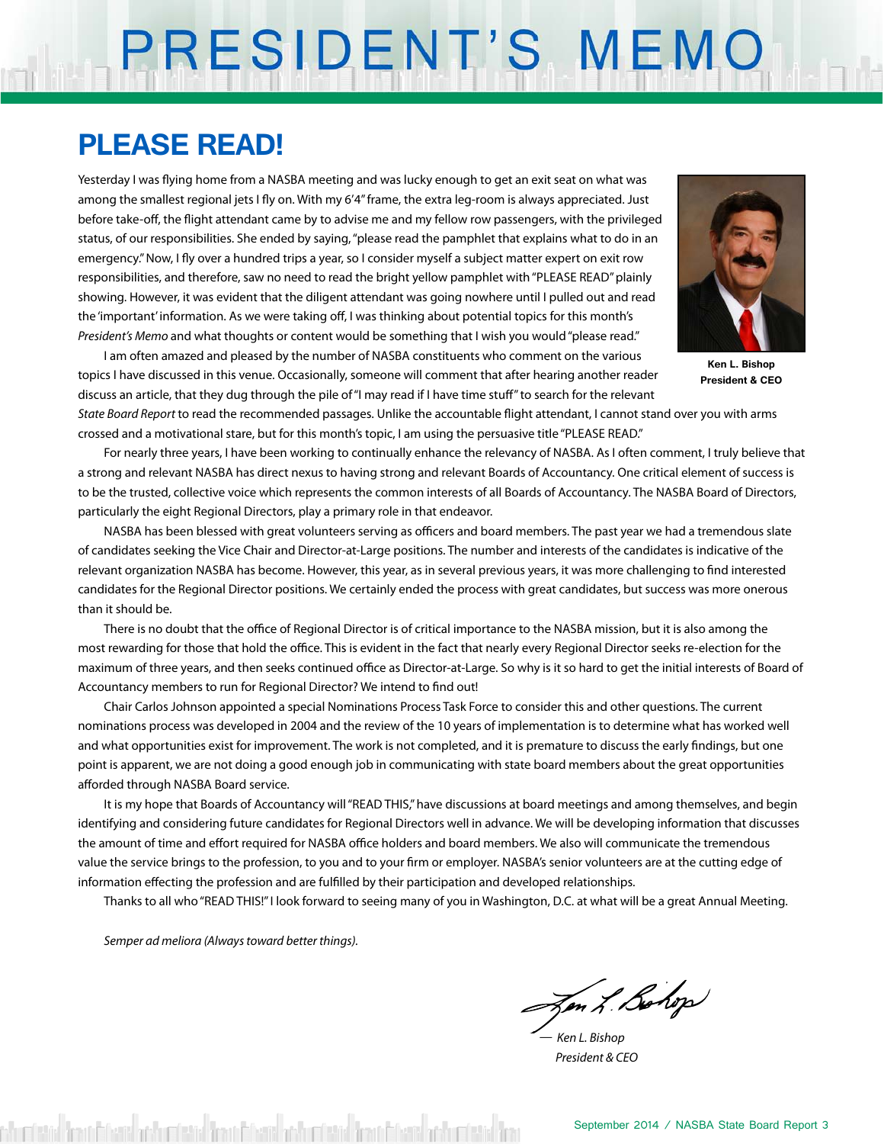## PRESIDENT'S MEMO

## **PLEASE READ!**

Yesterday I was flying home from a NASBA meeting and was lucky enough to get an exit seat on what was among the smallest regional jets I fly on. With my 6'4" frame, the extra leg-room is always appreciated. Just before take-off, the flight attendant came by to advise me and my fellow row passengers, with the privileged status, of our responsibilities. She ended by saying, "please read the pamphlet that explains what to do in an emergency." Now, I fly over a hundred trips a year, so I consider myself a subject matter expert on exit row responsibilities, and therefore, saw no need to read the bright yellow pamphlet with "PLEASE READ" plainly showing. However, it was evident that the diligent attendant was going nowhere until I pulled out and read the 'important' information. As we were taking off, I was thinking about potential topics for this month's *President's Memo* and what thoughts or content would be something that I wish you would "please read."



**Ken L. Bishop President & CEO**

I am often amazed and pleased by the number of NASBA constituents who comment on the various topics I have discussed in this venue. Occasionally, someone will comment that after hearing another reader discuss an article, that they dug through the pile of "I may read if I have time stuff" to search for the relevant

*State Board Report* to read the recommended passages. Unlike the accountable flight attendant, I cannot stand over you with arms crossed and a motivational stare, but for this month's topic, I am using the persuasive title "PLEASE READ."

For nearly three years, I have been working to continually enhance the relevancy of NASBA. As I often comment, I truly believe that a strong and relevant NASBA has direct nexus to having strong and relevant Boards of Accountancy. One critical element of success is to be the trusted, collective voice which represents the common interests of all Boards of Accountancy. The NASBA Board of Directors, particularly the eight Regional Directors, play a primary role in that endeavor.

NASBA has been blessed with great volunteers serving as officers and board members. The past year we had a tremendous slate of candidates seeking the Vice Chair and Director-at-Large positions. The number and interests of the candidates is indicative of the relevant organization NASBA has become. However, this year, as in several previous years, it was more challenging to find interested candidates for the Regional Director positions. We certainly ended the process with great candidates, but success was more onerous than it should be.

There is no doubt that the office of Regional Director is of critical importance to the NASBA mission, but it is also among the most rewarding for those that hold the office. This is evident in the fact that nearly every Regional Director seeks re-election for the maximum of three years, and then seeks continued office as Director-at-Large. So why is it so hard to get the initial interests of Board of Accountancy members to run for Regional Director? We intend to find out!

Chair Carlos Johnson appointed a special Nominations Process Task Force to consider this and other questions. The current nominations process was developed in 2004 and the review of the 10 years of implementation is to determine what has worked well and what opportunities exist for improvement. The work is not completed, and it is premature to discuss the early findings, but one point is apparent, we are not doing a good enough job in communicating with state board members about the great opportunities afforded through NASBA Board service.

It is my hope that Boards of Accountancy will "READ THIS," have discussions at board meetings and among themselves, and begin identifying and considering future candidates for Regional Directors well in advance. We will be developing information that discusses the amount of time and effort required for NASBA office holders and board members. We also will communicate the tremendous value the service brings to the profession, to you and to your firm or employer. NASBA's senior volunteers are at the cutting edge of information effecting the profession and are fulfilled by their participation and developed relationships.

Thanks to all who "READ THIS!" I look forward to seeing many of you in Washington, D.C. at what will be a great Annual Meeting.

*Semper ad meliora (Always toward better things).*

on L. Bohop

*— Ken L. Bishop President & CEO*

shumberida dimatit biratisi adalam tarishlarida da kata da biratisi da biratisi da biratisi da biratisi da bir